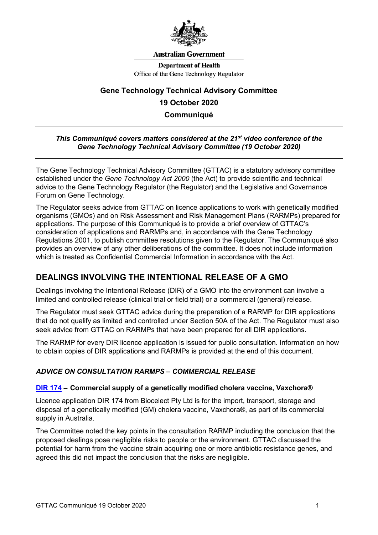

#### **Australian Government**

**Department of Health** Office of the Gene Technology Regulator

# **Gene Technology Technical Advisory Committee 19 October 2020 Communiqué**

## *This Communiqué covers matters considered at the 21st video conference of the Gene Technology Technical Advisory Committee (19 October 2020)*

The Gene Technology Technical Advisory Committee (GTTAC) is a statutory advisory committee established under the *Gene Technology Act 2000* (the Act) to provide scientific and technical advice to the Gene Technology Regulator (the Regulator) and the Legislative and Governance Forum on Gene Technology.

The Regulator seeks advice from GTTAC on licence applications to work with genetically modified organisms (GMOs) and on Risk Assessment and Risk Management Plans (RARMPs) prepared for applications. The purpose of this Communiqué is to provide a brief overview of GTTAC's consideration of applications and RARMPs and, in accordance with the Gene Technology Regulations 2001, to publish committee resolutions given to the Regulator. The Communiqué also provides an overview of any other deliberations of the committee. It does not include information which is treated as Confidential Commercial Information in accordance with the Act.

# **DEALINGS INVOLVING THE INTENTIONAL RELEASE OF A GMO**

Dealings involving the Intentional Release (DIR) of a GMO into the environment can involve a limited and controlled release (clinical trial or field trial) or a commercial (general) release.

The Regulator must seek GTTAC advice during the preparation of a RARMP for DIR applications that do not qualify as limited and controlled under Section 50A of the Act. The Regulator must also seek advice from GTTAC on RARMPs that have been prepared for all DIR applications.

The RARMP for every DIR licence application is issued for public consultation. Information on how to obtain copies of DIR applications and RARMPs is provided at the end of this document.

# *ADVICE ON CONSULTATION RARMPS – COMMERCIAL RELEASE*

### **[DIR 174](http://www.ogtr.gov.au/internet/ogtr/publishing.nsf/Content/DIR174) – Commercial supply of a genetically modified cholera vaccine, Vaxchora®**

Licence application DIR 174 from Biocelect Pty Ltd is for the import, transport, storage and disposal of a genetically modified (GM) cholera vaccine, Vaxchora®, as part of its commercial supply in Australia.

The Committee noted the key points in the consultation RARMP including the conclusion that the proposed dealings pose negligible risks to people or the environment. GTTAC discussed the potential for harm from the vaccine strain acquiring one or more antibiotic resistance genes, and agreed this did not impact the conclusion that the risks are negligible.